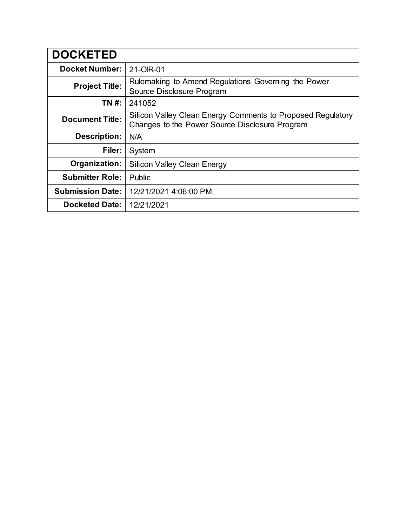| <b>DOCKETED</b>         |                                                                                                               |
|-------------------------|---------------------------------------------------------------------------------------------------------------|
| <b>Docket Number:</b>   | 21-OIR-01                                                                                                     |
| <b>Project Title:</b>   | Rulemaking to Amend Regulations Governing the Power<br>Source Disclosure Program                              |
| TN #:                   | 241052                                                                                                        |
| <b>Document Title:</b>  | Silicon Valley Clean Energy Comments to Proposed Regulatory<br>Changes to the Power Source Disclosure Program |
| Description:            | N/A                                                                                                           |
| Filer:                  | System                                                                                                        |
| Organization:           | <b>Silicon Valley Clean Energy</b>                                                                            |
| <b>Submitter Role:</b>  | Public                                                                                                        |
| <b>Submission Date:</b> | 12/21/2021 4:06:00 PM                                                                                         |
| <b>Docketed Date:</b>   | 12/21/2021                                                                                                    |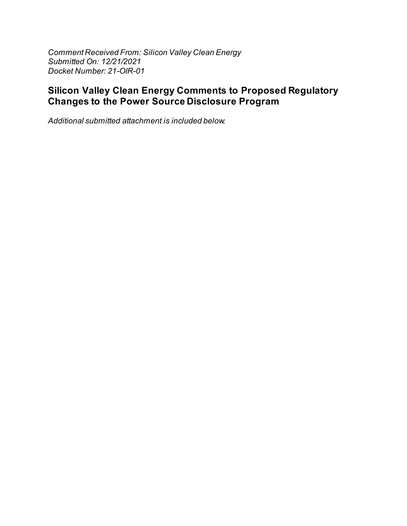Comment Received From: Silicon Valley Clean Energy Submitted On: 12/21/2021 Docket Number: 21-OIR-01

## **Silicon Valley Clean Energy Comments to Proposed Regulatory Changes to the Power Source Disclosure Program**

Additional submitted attachment is included below.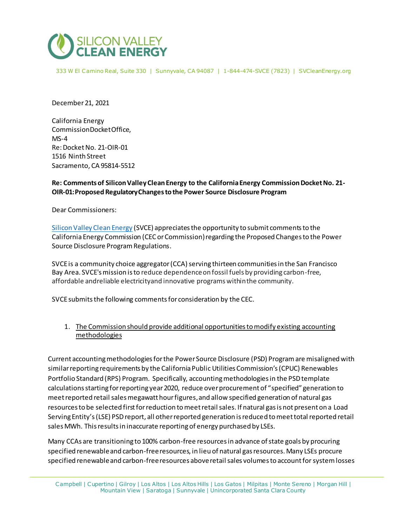

333 W El Camino Real, Suite 330 | Sunnyvale, CA 94087 | 1-844-474-SVCE (7823) | SVCleanEnergy.org

December 21, 2021

California Energy CommissionDocketOffice, MS-4 Re:DocketNo. 21-OIR-01 1516 Ninth Street Sacramento, CA 95814-5512

## **Re: Comments of Silicon Valley Clean Energy to the California Energy Commission Docket No. 21- OIR-01: Proposed Regulatory Changes to the Power Source Disclosure Program**

Dear Commissioners:

[Silicon Valley Clean Energy](http://www.svcleanenergy.org/) (SVCE) appreciates the opportunity to submit comments to the California Energy Commission (CEC or Commission)regarding the Proposed Changes to the Power Source Disclosure Program Regulations.

SVCE is a community choice aggregator (CCA) serving thirteen communities in the San Francisco Bay Area. SVCE's mission is to reduce dependence on fossil fuels by providing carbon-free, affordable andreliable electricityand innovative programs withinthe community.

SVCE submits the following comments for consideration by the CEC.

1. The Commission should provide additional opportunities to modify existing accounting methodologies

Current accounting methodologies for the Power Source Disclosure (PSD) Program are misaligned with similar reporting requirements by the California Public Utilities Commission's (CPUC) Renewables Portfolio Standard (RPS) Program. Specifically, accounting methodologies in the PSDtemplate calculations starting for reporting year 2020, reduce over procurement of "specified" generation to meet reported retail sales megawatt hour figures,and allow specified generation of natural gas resources to be selected first for reduction to meet retail sales. If natural gas is not present on a Load Serving Entity's(LSE) PSD report, all other reported generation is reduced to meet total reported retail sales MWh. This results in inaccurate reporting of energy purchased by LSEs.

Many CCAs are transitioning to 100% carbon-free resources in advance of state goals by procuring specified renewable and carbon-free resources, in lieu of natural gas resources. Many LSEs procure specified renewable and carbon-free resources above retail sales volumes to account for system losses